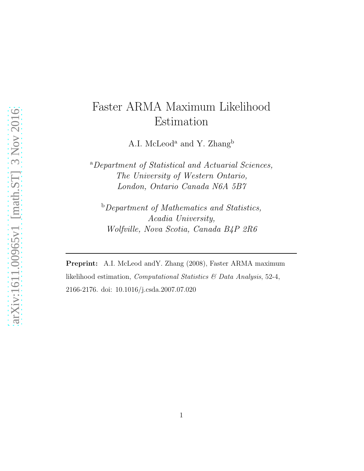# Faster ARMA Maximum Likelihood Estimation

A.I. McLeod<sup>a</sup> and Y. Zhang<sup>b</sup>

<sup>a</sup>Department of Statistical and Actuarial Sciences, The University of Western Ontario, London, Ontario Canada N6A 5B7

**b** Department of Mathematics and Statistics, Acadia University, Wolfville, Nova Scotia, Canada B4P 2R6

Preprint: A.I. McLeod and Y. Zhang (2008), Faster ARMA maximum likelihood estimation, Computational Statistics & Data Analysis, 52-4, 2166-2176. doi: 10.1016/j.csda.2007.07.020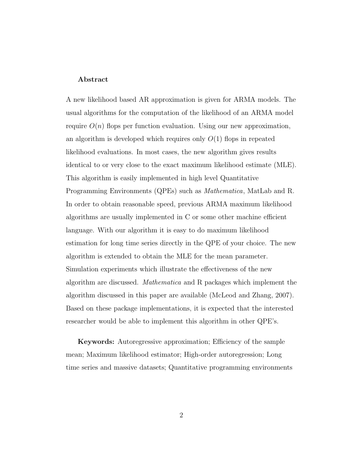#### Abstract

A new likelihood based AR approximation is given for ARMA models. The usual algorithms for the computation of the likelihood of an ARMA model require  $O(n)$  flops per function evaluation. Using our new approximation, an algorithm is developed which requires only  $O(1)$  flops in repeated likelihood evaluations. In most cases, the new algorithm gives results identical to or very close to the exact maximum likelihood estimate (MLE). This algorithm is easily implemented in high level Quantitative Programming Environments (QPEs) such as Mathematica, MatLab and R. In order to obtain reasonable speed, previous ARMA maximum likelihood algorithms are usually implemented in C or some other machine efficient language. With our algorithm it is easy to do maximum likelihood estimation for long time series directly in the QPE of your choice. The new algorithm is extended to obtain the MLE for the mean parameter. Simulation experiments which illustrate the effectiveness of the new algorithm are discussed. Mathematica and R packages which implement the algorithm discussed in this paper are available (McLeod and Zhang, 2007). Based on these package implementations, it is expected that the interested researcher would be able to implement this algorithm in other QPE's.

Keywords: Autoregressive approximation; Efficiency of the sample mean; Maximum likelihood estimator; High-order autoregression; Long time series and massive datasets; Quantitative programming environments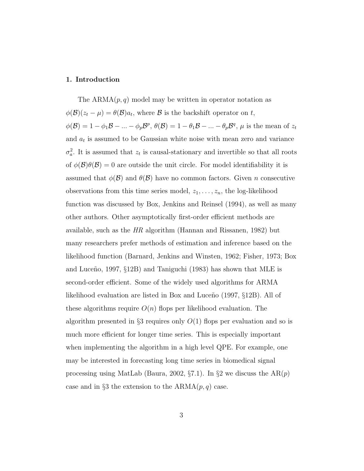### 1. Introduction

The  $ARMA(p, q)$  model may be written in operator notation as  $\phi(\mathcal{B})(z_t - \mu) = \theta(\mathcal{B})a_t$ , where  $\mathcal B$  is the backshift operator on t,  $\phi(\mathcal{B}) = 1 - \phi_1 \mathcal{B} - \ldots - \phi_p \mathcal{B}^p$ ,  $\theta(\mathcal{B}) = 1 - \theta_1 \mathcal{B} - \ldots - \theta_p \mathcal{B}^q$ ,  $\mu$  is the mean of  $z_t$ and  $a_t$  is assumed to be Gaussian white noise with mean zero and variance  $\sigma_a^2$ . It is assumed that  $z_t$  is causal-stationary and invertible so that all roots of  $\phi(\mathcal{B})\theta(\mathcal{B})=0$  are outside the unit circle. For model identifiability it is assumed that  $\phi(\mathcal{B})$  and  $\theta(\mathcal{B})$  have no common factors. Given n consecutive observations from this time series model,  $z_1, \ldots, z_n$ , the log-likelihood function was discussed by Box, Jenkins and Reinsel (1994), as well as many other authors. Other asymptotically first-order efficient methods are available, such as the  $HR$  algorithm (Hannan and Rissanen, 1982) but many researchers prefer methods of estimation and inference based on the likelihood function (Barnard, Jenkins and Winsten, 1962; Fisher, 1973; Box and Luceño, 1997,  $\S12B$ ) and Taniguchi (1983) has shown that MLE is second-order efficient. Some of the widely used algorithms for ARMA likelihood evaluation are listed in Box and Luceño  $(1997, §12B)$ . All of these algorithms require  $O(n)$  flops per likelihood evaluation. The algorithm presented in §3 requires only  $O(1)$  flops per evaluation and so is much more efficient for longer time series. This is especially important when implementing the algorithm in a high level QPE. For example, one may be interested in forecasting long time series in biomedical signal processing using MatLab (Baura, 2002,  $\S 7.1$ ). In  $\S 2$  we discuss the AR(p) case and in §3 the extension to the  $ARMA(p, q)$  case.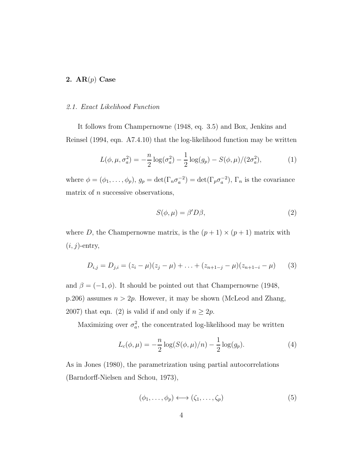## 2.  $AR(p)$  Case

#### 2.1. Exact Likelihood Function

It follows from Champernowne (1948, eq. 3.5) and Box, Jenkins and Reinsel (1994, eqn. A7.4.10) that the log-likelihood function may be written

$$
L(\phi, \mu, \sigma_a^2) = -\frac{n}{2} \log(\sigma_a^2) - \frac{1}{2} \log(g_p) - S(\phi, \mu) / (2\sigma_a^2),\tag{1}
$$

where  $\phi = (\phi_1, \ldots, \phi_p)$ ,  $g_p = \det(\Gamma_n \sigma_a^{-2}) = \det(\Gamma_p \sigma_a^{-2})$ ,  $\Gamma_n$  is the covariance matrix of  $n$  successive observations,

$$
S(\phi, \mu) = \beta' D \beta,\tag{2}
$$

where D, the Champernowne matrix, is the  $(p+1) \times (p+1)$  matrix with  $(i, j)$ -entry,

$$
D_{i,j} = D_{j,i} = (z_i - \mu)(z_j - \mu) + \ldots + (z_{n+1-j} - \mu)(z_{n+1-i} - \mu) \tag{3}
$$

and  $\beta = (-1, \phi)$ . It should be pointed out that Champernowne (1948, p.206) assumes  $n > 2p$ . However, it may be shown (McLeod and Zhang, 2007) that eqn. (2) is valid if and only if  $n \geq 2p$ .

Maximizing over  $\sigma_a^2$ , the concentrated log-likelihood may be written

$$
L_c(\phi, \mu) = -\frac{n}{2} \log(S(\phi, \mu)/n) - \frac{1}{2} \log(g_p).
$$
 (4)

As in Jones (1980), the parametrization using partial autocorrelations (Barndorff-Nielsen and Schou, 1973),

$$
(\phi_1, \ldots, \phi_p) \longleftrightarrow (\zeta_1, \ldots, \zeta_p) \tag{5}
$$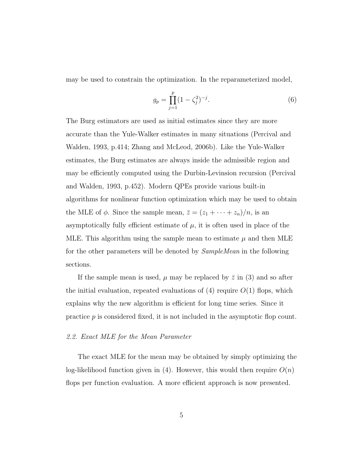may be used to constrain the optimization. In the reparameterized model,

$$
g_p = \prod_{j=1}^p (1 - \zeta_j^2)^{-j}.
$$
 (6)

The Burg estimators are used as initial estimates since they are more accurate than the Yule-Walker estimates in many situations (Percival and Walden, 1993, p.414; Zhang and McLeod, 2006b). Like the Yule-Walker estimates, the Burg estimates are always inside the admissible region and may be efficiently computed using the Durbin-Levinsion recursion (Percival and Walden, 1993, p.452). Modern QPEs provide various built-in algorithms for nonlinear function optimization which may be used to obtain the MLE of  $\phi$ . Since the sample mean,  $\bar{z} = (z_1 + \cdots + z_n)/n$ , is an asymptotically fully efficient estimate of  $\mu$ , it is often used in place of the MLE. This algorithm using the sample mean to estimate  $\mu$  and then MLE for the other parameters will be denoted by SampleMean in the following sections.

If the sample mean is used,  $\mu$  may be replaced by  $\bar{z}$  in (3) and so after the initial evaluation, repeated evaluations of  $(4)$  require  $O(1)$  flops, which explains why the new algorithm is efficient for long time series. Since it practice p is considered fixed, it is not included in the asymptotic flop count.

## 2.2. Exact MLE for the Mean Parameter

The exact MLE for the mean may be obtained by simply optimizing the log-likelihood function given in (4). However, this would then require  $O(n)$ flops per function evaluation. A more efficient approach is now presented.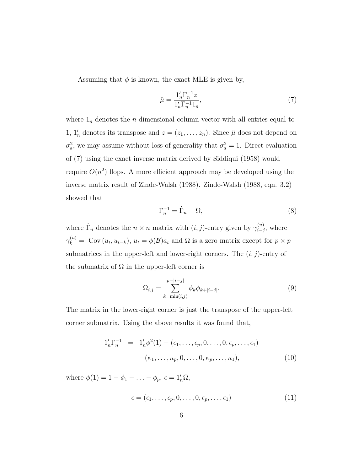Assuming that  $\phi$  is known, the exact MLE is given by,

$$
\hat{\mu} = \frac{\mathbf{1}_n' \Gamma_n^{-1} z}{\mathbf{1}_n' \Gamma_n^{-1} \mathbf{1}_n},\tag{7}
$$

where  $1_n$  denotes the n dimensional column vector with all entries equal to 1,  $1'_n$  denotes its transpose and  $z = (z_1, \ldots, z_n)$ . Since  $\hat{\mu}$  does not depend on  $\sigma_a^2$ , we may assume without loss of generality that  $\sigma_a^2 = 1$ . Direct evaluation of (7) using the exact inverse matrix derived by Siddiqui (1958) would require  $O(n^2)$  flops. A more efficient approach may be developed using the inverse matrix result of Zinde-Walsh (1988). Zinde-Walsh (1988, eqn. 3.2) showed that

$$
\Gamma_n^{-1} = \dot{\Gamma}_n - \Omega,\tag{8}
$$

where  $\dot{\Gamma}_n$  denotes the  $n \times n$  matrix with  $(i, j)$ -entry given by  $\gamma_{i-j}^{(u)}$  $\sum_{i-j}^{(u)}$ , where  $\gamma_k^{(u)} = \text{Cov}(u_t, u_{t-k}), u_t = \phi(\mathcal{B})a_t \text{ and } \Omega \text{ is a zero matrix except for } p \times p$ submatrices in the upper-left and lower-right corners. The  $(i, j)$ -entry of the submatrix of  $\Omega$  in the upper-left corner is

$$
\Omega_{i,j} = \sum_{k=\min(i,j)}^{p-|i-j|} \phi_k \phi_{k+|i-j|}.
$$
\n(9)

The matrix in the lower-right corner is just the transpose of the upper-left corner submatrix. Using the above results it was found that,

$$
1'_n \Gamma_n^{-1} = 1'_n \phi^2(1) - (\epsilon_1, \dots, \epsilon_p, 0, \dots, 0, \epsilon_p, \dots, \epsilon_1) - (\kappa_1, \dots, \kappa_p, 0, \dots, 0, \kappa_p, \dots, \kappa_1),
$$
\n(10)

where  $\phi(1) = 1 - \phi_1 - \ldots - \phi_p$ ,  $\epsilon = 1'_n \Omega$ ,

$$
\epsilon = (\epsilon_1, \ldots, \epsilon_p, 0, \ldots, 0, \epsilon_p, \ldots, \epsilon_1) \tag{11}
$$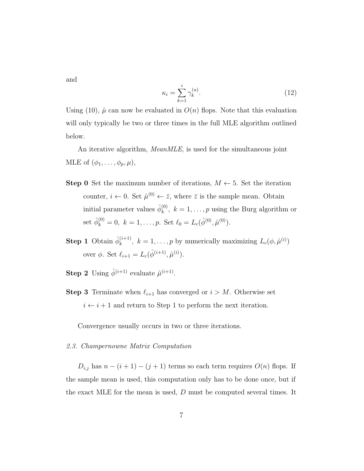and

$$
\kappa_i = \sum_{k=1}^i \gamma_k^{(u)}.
$$
\n(12)

Using (10),  $\hat{\mu}$  can now be evaluated in  $O(n)$  flops. Note that this evaluation will only typically be two or three times in the full MLE algorithm outlined below.

An iterative algorithm, *MeanMLE*, is used for the simultaneous joint MLE of  $(\phi_1, \ldots, \phi_p, \mu)$ ,

- **Step 0** Set the maximum number of iterations,  $M \leftarrow 5$ . Set the iteration counter,  $i \leftarrow 0$ . Set  $\hat{\mu}^{(0)} \leftarrow \bar{z}$ , where  $\bar{z}$  is the sample mean. Obtain initial parameter values  $\hat{\phi}_k^{(0)}$  $k^{(0)}$ ,  $k = 1, \ldots, p$  using the Burg algorithm or set  $\hat{\phi}_k^{(0)} = 0, \ k = 1, \ldots, p.$  Set  $\ell_0 = L_c(\hat{\phi}^{(0)}, \hat{\mu}^{(0)})$ .
- **Step 1** Obtain  $\hat{\phi}_k^{(i+1)}$  $k^{(i+1)}$ ,  $k = 1, \ldots, p$  by numerically maximizing  $L_c(\phi, \hat{\mu}^{(i)})$ over  $\phi$ . Set  $\ell_{i+1} = L_c(\hat{\phi}^{(i+1)}, \hat{\mu}^{(i)})$ .
- **Step 2** Using  $\hat{\phi}^{(i+1)}$  evaluate  $\hat{\mu}^{(i+1)}$ .
- **Step 3** Terminate when  $\ell_{i+1}$  has converged or  $i > M$ . Otherwise set  $i \leftarrow i + 1$  and return to Step 1 to perform the next iteration.

Convergence usually occurs in two or three iterations.

#### 2.3. Champernowne Matrix Computation

 $D_{i,j}$  has  $n - (i + 1) - (j + 1)$  terms so each term requires  $O(n)$  flops. If the sample mean is used, this computation only has to be done once, but if the exact MLE for the mean is used, D must be computed several times. It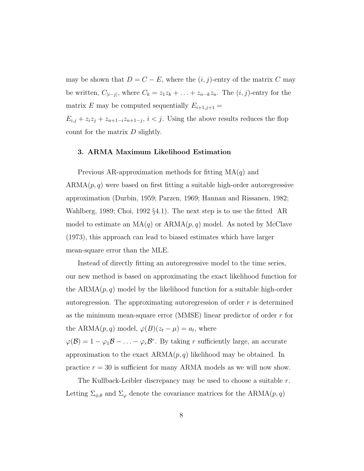may be shown that  $D = C - E$ , where the  $(i, j)$ -entry of the matrix C may be written,  $C_{|i-j|}$ , where  $C_k = z_1z_k + \ldots + z_{n-k}z_n$ . The  $(i, j)$ -entry for the matrix E may be computed sequentially  $E_{i+1,j+1} =$ 

 $E_{i,j} + z_i z_j + z_{n+1-i} z_{n+1-j}, i < j$ . Using the above results reduces the flop count for the matrix  $D$  slightly.

#### 3. ARMA Maximum Likelihood Estimation

Previous AR-approximation methods for fitting  $MA(q)$  and  $ARMA(p, q)$  were based on first fitting a suitable high-order autoregressive approximation (Durbin, 1959; Parzen, 1969; Hannan and Rissanen, 1982; Wahlberg, 1989; Choi, 1992 §4.1). The next step is to use the fitted AR model to estimate an  $MA(q)$  or  $ARMA(p, q)$  model. As noted by McClave (1973), this approach can lead to biased estimates which have larger mean-square error than the MLE.

Instead of directly fitting an autoregressive model to the time series, our new method is based on approximating the exact likelihood function for the  $ARMA(p, q)$  model by the likelihood function for a suitable high-order autoregression. The approximating autoregression of order  $r$  is determined as the minimum mean-square error (MMSE) linear predictor of order r for the ARMA $(p, q)$  model,  $\varphi(B)(z_t - \mu) = a_t$ , where  $\varphi(\mathcal{B}) = 1 - \varphi_1 \mathcal{B} - \ldots - \varphi_r \mathcal{B}^r$ . By taking r sufficiently large, an accurate

approximation to the exact  $ARMA(p, q)$  likelihood may be obtained. In practice  $r = 30$  is sufficient for many ARMA models as we will now show.

The Kullback-Leibler discrepancy may be used to choose a suitable r. Letting  $\Sigma_{\phi,\theta}$  and  $\Sigma_{\varphi}$  denote the covariance matrices for the ARMA $(p, q)$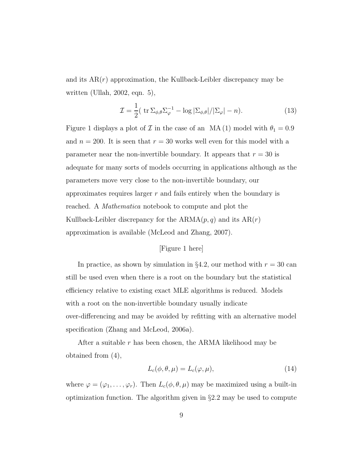and its  $AR(r)$  approximation, the Kullback-Leibler discrepancy may be written (Ullah, 2002, eqn. 5),

$$
\mathcal{I} = \frac{1}{2} (\operatorname{tr} \Sigma_{\phi,\theta} \Sigma_{\varphi}^{-1} - \log |\Sigma_{\phi,\theta}| / |\Sigma_{\varphi}| - n). \tag{13}
$$

Figure 1 displays a plot of  $\mathcal I$  in the case of an MA (1) model with  $\theta_1 = 0.9$ and  $n = 200$ . It is seen that  $r = 30$  works well even for this model with a parameter near the non-invertible boundary. It appears that  $r = 30$  is adequate for many sorts of models occurring in applications although as the parameters move very close to the non-invertible boundary, our approximates requires larger  $r$  and fails entirely when the boundary is reached. A Mathematica notebook to compute and plot the Kullback-Leibler discrepancy for the  $ARMA(p, q)$  and its  $AR(r)$ approximation is available (McLeod and Zhang, 2007).

## [Figure 1 here]

In practice, as shown by simulation in §4.2, our method with  $r = 30$  can still be used even when there is a root on the boundary but the statistical efficiency relative to existing exact MLE algorithms is reduced. Models with a root on the non-invertible boundary usually indicate over-differencing and may be avoided by refitting with an alternative model specification (Zhang and McLeod, 2006a).

After a suitable  $r$  has been chosen, the ARMA likelihood may be obtained from (4),

$$
L_c(\phi, \theta, \mu) = L_c(\varphi, \mu), \tag{14}
$$

where  $\varphi = (\varphi_1, \ldots, \varphi_r)$ . Then  $L_c(\phi, \theta, \mu)$  may be maximized using a built-in optimization function. The algorithm given in §2.2 may be used to compute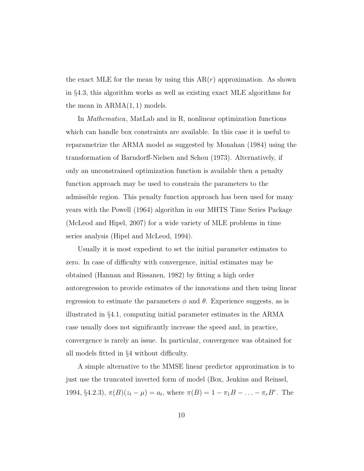the exact MLE for the mean by using this  $AR(r)$  approximation. As shown in §4.3, this algorithm works as well as existing exact MLE algorithms for the mean in  $ARMA(1, 1)$  models.

In Mathematica, MatLab and in R, nonlinear optimization functions which can handle box constraints are available. In this case it is useful to reparametrize the ARMA model as suggested by Monahan (1984) using the transformation of Barndorff-Nielsen and Schou (1973). Alternatively, if only an unconstrained optimization function is available then a penalty function approach may be used to constrain the parameters to the admissible region. This penalty function approach has been used for many years with the Powell (1964) algorithm in our MHTS Time Series Package (McLeod and Hipel, 2007) for a wide variety of MLE problems in time series analysis (Hipel and McLeod, 1994).

Usually it is most expedient to set the initial parameter estimates to zero. In case of difficulty with convergence, initial estimates may be obtained (Hannan and Rissanen, 1982) by fitting a high order autoregression to provide estimates of the innovations and then using linear regression to estimate the parameters  $\phi$  and  $\theta$ . Experience suggests, as is illustrated in §4.1, computing initial parameter estimates in the ARMA case usually does not significantly increase the speed and, in practice, convergence is rarely an issue. In particular, convergence was obtained for all models fitted in §4 without difficulty.

A simple alternative to the MMSE linear predictor approximation is to just use the truncated inverted form of model (Box, Jenkins and Reinsel, 1994, §4.2.3),  $\pi(B)(z_t - \mu) = a_t$ , where  $\pi(B) = 1 - \pi_1 B - \ldots - \pi_r B^r$ . The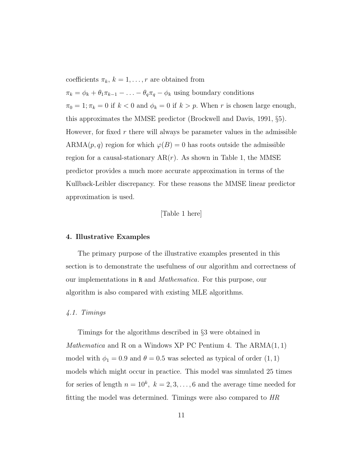coefficients  $\pi_k$ ,  $k = 1, \ldots, r$  are obtained from  $\pi_k = \phi_k + \theta_1 \pi_{k-1} - \ldots - \theta_q \pi_q - \phi_k$  using boundary conditions  $\pi_0 = 1; \pi_k = 0$  if  $k < 0$  and  $\phi_k = 0$  if  $k > p$ . When r is chosen large enough, this approximates the MMSE predictor (Brockwell and Davis, 1991, §5). However, for fixed  $r$  there will always be parameter values in the admissible ARMA $(p, q)$  region for which  $\varphi(B) = 0$  has roots outside the admissible region for a causal-stationary  $AR(r)$ . As shown in Table 1, the MMSE predictor provides a much more accurate approximation in terms of the Kullback-Leibler discrepancy. For these reasons the MMSE linear predictor approximation is used.

### [Table 1 here]

#### 4. Illustrative Examples

The primary purpose of the illustrative examples presented in this section is to demonstrate the usefulness of our algorithm and correctness of our implementations in R and Mathematica. For this purpose, our algorithm is also compared with existing MLE algorithms.

#### 4.1. Timings

Timings for the algorithms described in §3 were obtained in *Mathematica* and R on a Windows XP PC Pentium 4. The  $ARMA(1, 1)$ model with  $\phi_1 = 0.9$  and  $\theta = 0.5$  was selected as typical of order  $(1, 1)$ models which might occur in practice. This model was simulated 25 times for series of length  $n = 10^k$ ,  $k = 2, 3, \ldots, 6$  and the average time needed for fitting the model was determined. Timings were also compared to HR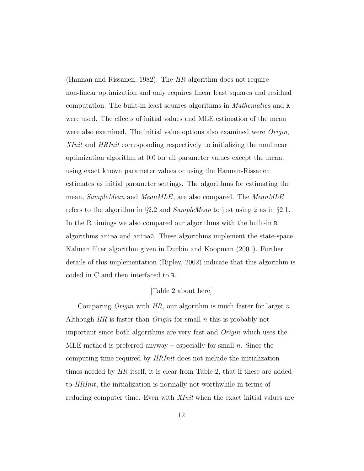(Hannan and Rissanen, 1982). The HR algorithm does not require non-linear optimization and only requires linear least squares and residual computation. The built-in least squares algorithms in Mathematica and R were used. The effects of initial values and MLE estimation of the mean were also examined. The initial value options also examined were *Origin*, XInit and HRInit corresponding respectively to initializing the nonlinear optimization algorithm at 0.0 for all parameter values except the mean, using exact known parameter values or using the Hannan-Rissanen estimates as initial parameter settings. The algorithms for estimating the mean, SampleMean and MeanMLE, are also compared. The MeanMLE refers to the algorithm in §2.2 and *SampleMean* to just using  $\bar{z}$  as in §2.1. In the R timings we also compared our algorithms with the built-in R algorithms arima and arima0. These algorithms implement the state-space Kalman filter algorithm given in Durbin and Koopman (2001). Further details of this implementation (Ripley, 2002) indicate that this algorithm is coded in C and then interfaced to R.

## [Table 2 about here]

Comparing *Origin* with  $HR$ , our algorithm is much faster for larger n. Although  $HR$  is faster than  $Origin$  for small n this is probably not important since both algorithms are very fast and Origin which uses the MLE method is preferred anyway – especially for small  $n$ . Since the computing time required by HRInit does not include the initialization times needed by HR itself, it is clear from Table 2, that if these are added to HRInit, the initialization is normally not worthwhile in terms of reducing computer time. Even with *XInit* when the exact initial values are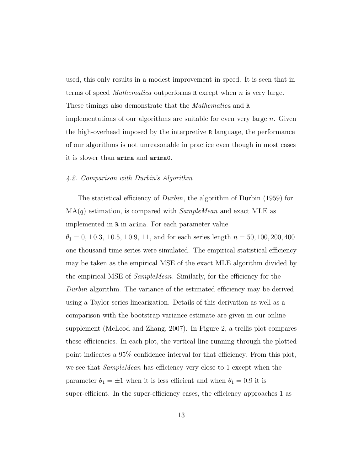used, this only results in a modest improvement in speed. It is seen that in terms of speed *Mathematica* outperforms  $\bf{R}$  except when *n* is very large. These timings also demonstrate that the Mathematica and R implementations of our algorithms are suitable for even very large  $n$ . Given the high-overhead imposed by the interpretive R language, the performance of our algorithms is not unreasonable in practice even though in most cases it is slower than arima and arima0.

#### 4.2. Comparison with Durbin's Algorithm

The statistical efficiency of *Durbin*, the algorithm of Durbin (1959) for  $MA(q)$  estimation, is compared with *SampleMean* and exact MLE as implemented in R in arima. For each parameter value  $\theta_1 = 0, \pm 0.3, \pm 0.5, \pm 0.9, \pm 1$ , and for each series length  $n = 50, 100, 200, 400$ one thousand time series were simulated. The empirical statistical efficiency may be taken as the empirical MSE of the exact MLE algorithm divided by the empirical MSE of SampleMean. Similarly, for the efficiency for the Durbin algorithm. The variance of the estimated efficiency may be derived using a Taylor series linearization. Details of this derivation as well as a comparison with the bootstrap variance estimate are given in our online supplement (McLeod and Zhang, 2007). In Figure 2, a trellis plot compares these efficiencies. In each plot, the vertical line running through the plotted point indicates a 95% confidence interval for that efficiency. From this plot, we see that SampleMean has efficiency very close to 1 except when the parameter  $\theta_1 = \pm 1$  when it is less efficient and when  $\theta_1 = 0.9$  it is super-efficient. In the super-efficiency cases, the efficiency approaches 1 as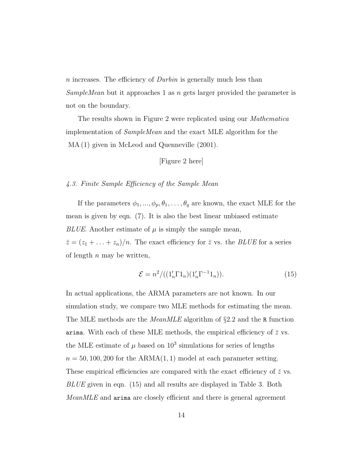n increases. The efficiency of *Durbin* is generally much less than SampleMean but it approaches 1 as n gets larger provided the parameter is not on the boundary.

The results shown in Figure 2 were replicated using our Mathematica implementation of SampleMean and the exact MLE algorithm for the MA (1) given in McLeod and Quenneville (2001).

[Figure 2 here]

## 4.3. Finite Sample Efficiency of the Sample Mean

If the parameters  $\phi_1, ..., \phi_p, \theta_1, ..., \theta_q$  are known, the exact MLE for the mean is given by eqn. (7). It is also the best linear unbiased estimate BLUE. Another estimate of  $\mu$  is simply the sample mean,  $\bar{z} = (z_1 + \ldots + z_n)/n$ . The exact efficiency for  $\bar{z}$  vs. the *BLUE* for a series of length  $n$  may be written,

$$
\mathcal{E} = n^2 / ((1_n' \Gamma 1_n)(1_n' \Gamma^{-1} 1_n)).\tag{15}
$$

In actual applications, the ARMA parameters are not known. In our simulation study, we compare two MLE methods for estimating the mean. The MLE methods are the *MeanMLE* algorithm of §2.2 and the R function arima. With each of these MLE methods, the empirical efficiency of  $\bar{z}$  vs. the MLE estimate of  $\mu$  based on  $10^3$  simulations for series of lengths  $n = 50, 100, 200$  for the ARMA $(1, 1)$  model at each parameter setting. These empirical efficiencies are compared with the exact efficiency of  $\bar{z}$  vs. BLUE given in eqn. (15) and all results are displayed in Table 3. Both MeanMLE and arima are closely efficient and there is general agreement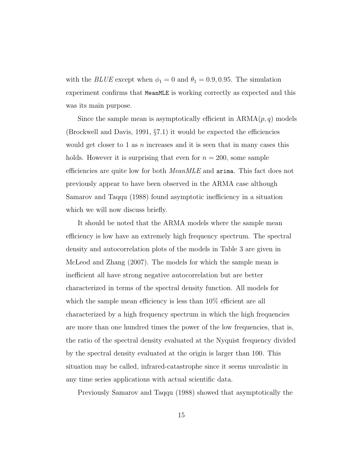with the *BLUE* except when  $\phi_1 = 0$  and  $\theta_1 = 0.9, 0.95$ . The simulation experiment confirms that MeanMLE is working correctly as expected and this was its main purpose.

Since the sample mean is asymptotically efficient in  $ARMA(p, q)$  models (Brockwell and Davis, 1991, §7.1) it would be expected the efficiencies would get closer to 1 as  $n$  increases and it is seen that in many cases this holds. However it is surprising that even for  $n = 200$ , some sample efficiencies are quite low for both *MeanMLE* and **arima**. This fact does not previously appear to have been observed in the ARMA case although Samarov and Taqqu (1988) found asymptotic inefficiency in a situation which we will now discuss briefly.

It should be noted that the ARMA models where the sample mean efficiency is low have an extremely high frequency spectrum. The spectral density and autocorrelation plots of the models in Table 3 are given in McLeod and Zhang (2007). The models for which the sample mean is inefficient all have strong negative autocorrelation but are better characterized in terms of the spectral density function. All models for which the sample mean efficiency is less than  $10\%$  efficient are all characterized by a high frequency spectrum in which the high frequencies are more than one hundred times the power of the low frequencies, that is, the ratio of the spectral density evaluated at the Nyquist frequency divided by the spectral density evaluated at the origin is larger than 100. This situation may be called, infrared-catastrophe since it seems unrealistic in any time series applications with actual scientific data.

Previously Samarov and Taqqu (1988) showed that asymptotically the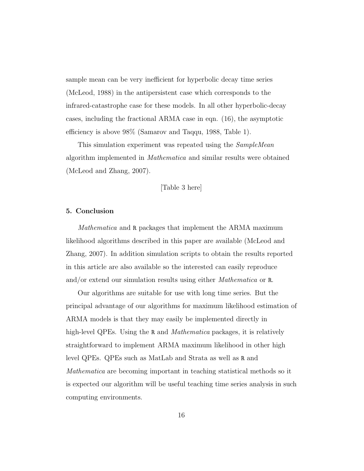sample mean can be very inefficient for hyperbolic decay time series (McLeod, 1988) in the antipersistent case which corresponds to the infrared-catastrophe case for these models. In all other hyperbolic-decay cases, including the fractional ARMA case in eqn. (16), the asymptotic efficiency is above 98% (Samarov and Taqqu, 1988, Table 1).

This simulation experiment was repeated using the *SampleMean* algorithm implemented in Mathematica and similar results were obtained (McLeod and Zhang, 2007).

[Table 3 here]

#### 5. Conclusion

Mathematica and R packages that implement the ARMA maximum likelihood algorithms described in this paper are available (McLeod and Zhang, 2007). In addition simulation scripts to obtain the results reported in this article are also available so the interested can easily reproduce and/or extend our simulation results using either Mathematica or R.

Our algorithms are suitable for use with long time series. But the principal advantage of our algorithms for maximum likelihood estimation of ARMA models is that they may easily be implemented directly in high-level QPEs. Using the R and *Mathematica* packages, it is relatively straightforward to implement ARMA maximum likelihood in other high level QPEs. QPEs such as MatLab and Strata as well as R and Mathematica are becoming important in teaching statistical methods so it is expected our algorithm will be useful teaching time series analysis in such computing environments.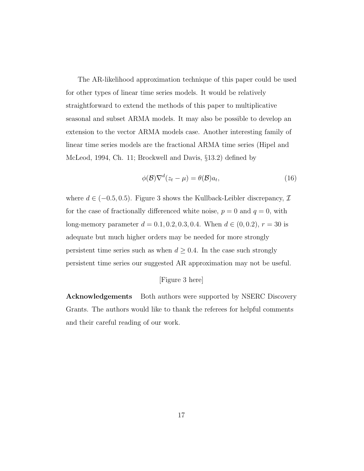The AR-likelihood approximation technique of this paper could be used for other types of linear time series models. It would be relatively straightforward to extend the methods of this paper to multiplicative seasonal and subset ARMA models. It may also be possible to develop an extension to the vector ARMA models case. Another interesting family of linear time series models are the fractional ARMA time series (Hipel and McLeod, 1994, Ch. 11; Brockwell and Davis, §13.2) defined by

$$
\phi(\mathcal{B})\nabla^{d}(z_t - \mu) = \theta(\mathcal{B})a_t,
$$
\n(16)

where  $d \in (-0.5, 0.5)$ . Figure 3 shows the Kullback-Leibler discrepancy,  $\mathcal{I}$ for the case of fractionally differenced white noise,  $p = 0$  and  $q = 0$ , with long-memory parameter  $d = 0.1, 0.2, 0.3, 0.4$ . When  $d \in (0, 0.2), r = 30$  is adequate but much higher orders may be needed for more strongly persistent time series such as when  $d \geq 0.4.$  In the case such strongly persistent time series our suggested AR approximation may not be useful.

## [Figure 3 here]

Acknowledgements Both authors were supported by NSERC Discovery Grants. The authors would like to thank the referees for helpful comments and their careful reading of our work.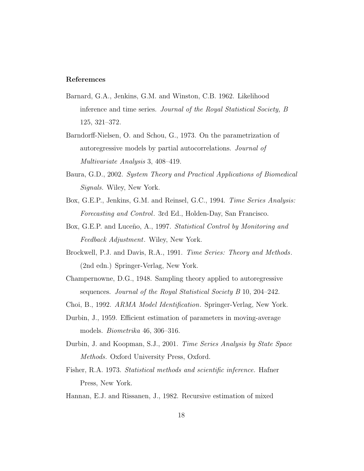### Referemces

- Barnard, G.A., Jenkins, G.M. and Winston, C.B. 1962. Likelihood inference and time series. Journal of the Royal Statistical Society, B 125, 321–372.
- Barndorff-Nielsen, O. and Schou, G., 1973. On the parametrization of autoregressive models by partial autocorrelations. Journal of Multivariate Analysis 3, 408–419.
- Baura, G.D., 2002. System Theory and Practical Applications of Biomedical Signals. Wiley, New York.
- Box, G.E.P., Jenkins, G.M. and Reinsel, G.C., 1994. *Time Series Analysis:* Forecasting and Control. 3rd Ed., Holden-Day, San Francisco.
- Box, G.E.P. and Luceño, A., 1997. Statistical Control by Monitoring and Feedback Adjustment. Wiley, New York.
- Brockwell, P.J. and Davis, R.A., 1991. Time Series: Theory and Methods. (2nd edn.) Springer-Verlag, New York.
- Champernowne, D.G., 1948. Sampling theory applied to autoregressive sequences. Journal of the Royal Statistical Society B 10, 204–242.
- Choi, B., 1992. ARMA Model Identification. Springer-Verlag, New York.
- Durbin, J., 1959. Efficient estimation of parameters in moving-average models. Biometrika 46, 306–316.
- Durbin, J. and Koopman, S.J., 2001. Time Series Analysis by State Space Methods. Oxford University Press, Oxford.
- Fisher, R.A. 1973. Statistical methods and scientific inference. Hafner Press, New York.
- Hannan, E.J. and Rissanen, J., 1982. Recursive estimation of mixed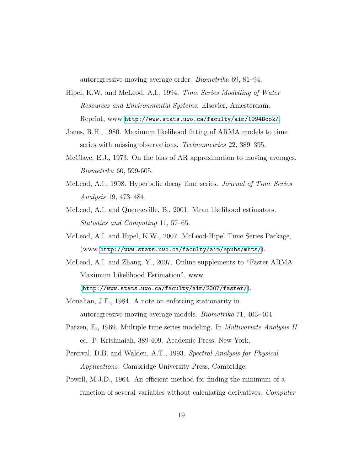autoregressive-moving average order. Biometrika 69, 81–94.

- Hipel, K.W. and McLeod, A.I., 1994. Time Series Modelling of Water Resources and Environmental Systems. Elsevier, Amesterdam. Reprint, www <http://www.stats.uwo.ca/faculty/aim/1994Book/>.
- Jones, R.H., 1980. Maximum likelihood fitting of ARMA models to time series with missing observations. Technometrics 22, 389–395.
- McClave, E.J., 1973. On the bias of AR approximation to moving averages. Biometrika 60, 599-605.
- McLeod, A.I., 1998. Hyperbolic decay time series. Journal of Time Series Analysis 19, 473–484.
- McLeod, A.I. and Quenneville, B., 2001. Mean likelihood estimators. Statistics and Computing 11, 57–65.
- McLeod, A.I. and Hipel, K.W., 2007. McLeod-Hipel Time Series Package, (www <http://www.stats.uwo.ca/faculty/aim/epubs/mhts/>).
- McLeod, A.I. and Zhang, Y., 2007. Online supplements to "Faster ARMA Maximum Likelihood Estimation", www
	- (<http://www.stats.uwo.ca/faculty/aim/2007/faster/>).
- Monahan, J.F., 1984. A note on enforcing stationarity in autoregressive-moving average models. Biometrika 71, 403–404.
- Parzen, E., 1969. Multiple time series modeling. In *Multivariate Analysis II* ed. P. Krishnaiah, 389-409. Academic Press, New York.
- Percival, D.B. and Walden, A.T., 1993. Spectral Analysis for Physical Applications. Cambridge University Press, Cambridge.
- Powell, M.J.D., 1964. An efficient method for finding the minimum of a function of several variables without calculating derivatives. Computer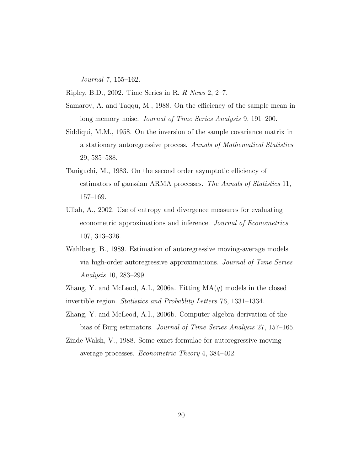Journal 7, 155–162.

Ripley, B.D., 2002. Time Series in R. R News 2, 2–7.

- Samarov, A. and Taqqu, M., 1988. On the efficiency of the sample mean in long memory noise. *Journal of Time Series Analysis* 9, 191–200.
- Siddiqui, M.M., 1958. On the inversion of the sample covariance matrix in a stationary autoregressive process. Annals of Mathematical Statistics 29, 585–588.
- Taniguchi, M., 1983. On the second order asymptotic efficiency of estimators of gaussian ARMA processes. The Annals of Statistics 11, 157–169.
- Ullah, A., 2002. Use of entropy and divergence measures for evaluating econometric approximations and inference. Journal of Econometrics 107, 313–326.
- Wahlberg, B., 1989. Estimation of autoregressive moving-average models via high-order autoregressive approximations. Journal of Time Series Analysis 10, 283–299.

Zhang, Y. and McLeod, A.I., 2006a. Fitting  $MA(q)$  models in the closed invertible region. Statistics and Probablity Letters 76, 1331–1334.

- Zhang, Y. and McLeod, A.I., 2006b. Computer algebra derivation of the bias of Burg estimators. Journal of Time Series Analysis 27, 157–165.
- Zinde-Walsh, V., 1988. Some exact formulae for autoregressive moving average processes. Econometric Theory 4, 384–402.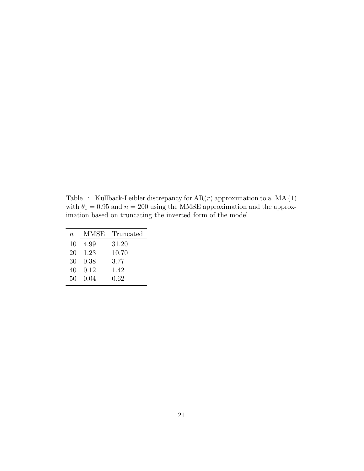Table 1: Kullback-Leibler discrepancy for  $AR(r)$  approximation to a  $MA(1)$ with  $\theta_1 = 0.95$  and  $n = 200$  using the MMSE approximation and the approximation based on truncating the inverted form of the model.

| $\, n$ | MMSE  | Truncated |
|--------|-------|-----------|
| 10     | 4.99  | 31.20     |
| 20-    | -1.23 | 10.70     |
| 30-    | 0.38  | 3.77      |
| 40     | 0.12  | 1.42      |
| 50     | 0.04  | 0.62      |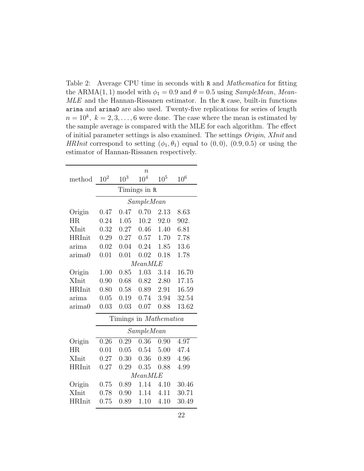Table 2: Average CPU time in seconds with R and *Mathematica* for fitting the ARMA(1, 1) model with  $\phi_1 = 0.9$  and  $\theta = 0.5$  using SampleMean, Mean-MLE and the Hannan-Rissanen estimator. In the R case, built-in functions arima and arima0 are also used. Twenty-five replications for series of length  $n = 10^k$ ,  $k = 2, 3, ..., 6$  were done. The case where the mean is estimated by the sample average is compared with the MLE for each algorithm. The effect of initial parameter settings is also examined. The settings Origin, XInit and HRInit correspond to setting  $(\phi_1, \theta_1)$  equal to  $(0, 0)$ ,  $(0.9, 0.5)$  or using the estimator of Hannan-Rissanen respectively.

|               |            | $\overline{n}$                |                 |                 |                 |  |  |
|---------------|------------|-------------------------------|-----------------|-----------------|-----------------|--|--|
| method        | $10^{2}$   | 10 <sup>3</sup>               | 10 <sup>4</sup> | 10 <sup>5</sup> | 10 <sup>6</sup> |  |  |
|               |            | Timings in R                  |                 |                 |                 |  |  |
|               | SampleMean |                               |                 |                 |                 |  |  |
| Origin        | 0.47       | 0.47                          | 0.70            | 2.13            | 8.63            |  |  |
| HR.           | 0.24       | 1.05                          | 10.2            | 92.0            | 902.            |  |  |
| XInit         | 0.32       | 0.27                          | 0.46            | 1.40            | 6.81            |  |  |
| <b>HRInit</b> | 0.29       | 0.27                          | 0.57            | 1.70            | 7.78            |  |  |
| arima         | 0.02       | 0.04                          | 0.24            | 1.85            | 13.6            |  |  |
| arima0        | 0.01       | 0.01                          | 0.02            | 0.18            | 1.78            |  |  |
|               |            |                               |                 |                 |                 |  |  |
|               |            | MeanMLE                       |                 |                 |                 |  |  |
| Origin        | 1.00       | 0.85                          | 1.03            | 3.14            | 16.70           |  |  |
| XInit         | 0.90       | 0.68                          | 0.82            | 2.80            | 17.15           |  |  |
| <b>HRInit</b> | 0.80       | 0.58                          | 0.89            | 2.91            | 16.59           |  |  |
| arima         | 0.05       | 0.19                          | 0.74            | 3.94            | 32.54           |  |  |
| arima0        | 0.03       | 0.03                          | 0.07            | 0.88            | 13.62           |  |  |
|               |            | Timings in <i>Mathematica</i> |                 |                 |                 |  |  |
|               |            |                               | SampleMean      |                 |                 |  |  |
| Origin        | 0.26       | 0.29                          | 0.36            | 0.90            | 4.97            |  |  |
| <b>HR</b>     | 0.01       | 0.05                          | 0.54            | 5.00            | 47.4            |  |  |
| XInit         | 0.27       | 0.30                          | 0.36            | 0.89            | 4.96            |  |  |
| <b>HRInit</b> | 0.27       | 0.29                          | 0.35            | 0.88            | 4.99            |  |  |
|               |            |                               | MeanMLE         |                 |                 |  |  |
| Origin        | 0.75       | 0.89                          | 1.14            | 4.10            | 30.46           |  |  |
| XInit         | 0.78       | 0.90                          | 1.14            | 4.11            | 30.71           |  |  |
| HRInit        | 0.75       | 0.89                          | 1.10            | 4.10            | 30.49           |  |  |
|               |            |                               |                 |                 |                 |  |  |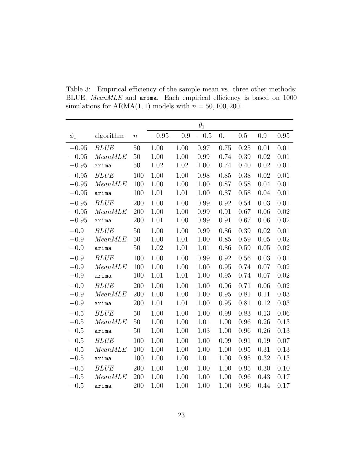|          |             |                  |         |          | $\theta_1$ |                  |      |      |          |
|----------|-------------|------------------|---------|----------|------------|------------------|------|------|----------|
| $\phi_1$ | algorithm   | $\boldsymbol{n}$ | $-0.95$ | $-0.9\,$ | $-0.5$     | $\overline{0}$ . | 0.5  | 0.9  | 0.95     |
| $-0.95$  | <b>BLUE</b> | 50               | 1.00    | 1.00     | 0.97       | 0.75             | 0.25 | 0.01 | 0.01     |
| $-0.95$  | MeanMLE     | $50\,$           | 1.00    | 1.00     | 0.99       | 0.74             | 0.39 | 0.02 | 0.01     |
| $-0.95$  | arima       | $50\,$           | 1.02    | 1.02     | 1.00       | 0.74             | 0.40 | 0.02 | 0.01     |
| $-0.95$  | <b>BLUE</b> | 100              | 1.00    | 1.00     | 0.98       | 0.85             | 0.38 | 0.02 | 0.01     |
| $-0.95$  | MeanMLE     | 100              | 1.00    | 1.00     | 1.00       | 0.87             | 0.58 | 0.04 | 0.01     |
| $-0.95$  | arima       | 100              | 1.01    | 1.01     | 1.00       | 0.87             | 0.58 | 0.04 | 0.01     |
| $-0.95$  | <b>BLUE</b> | 200              | 1.00    | 1.00     | 0.99       | 0.92             | 0.54 | 0.03 | 0.01     |
| $-0.95$  | MeanMLE     | 200              | 1.00    | 1.00     | 0.99       | 0.91             | 0.67 | 0.06 | 0.02     |
| $-0.95$  | arima       | 200              | 1.01    | 1.00     | 0.99       | 0.91             | 0.67 | 0.06 | 0.02     |
| $-0.9$   | <b>BLUE</b> | 50               | 1.00    | 1.00     | 0.99       | 0.86             | 0.39 | 0.02 | $0.01\,$ |
| $-0.9$   | MeanMLE     | 50               | 1.00    | 1.01     | 1.00       | 0.85             | 0.59 | 0.05 | 0.02     |
| $-0.9$   | arima       | 50               | 1.02    | 1.01     | 1.01       | 0.86             | 0.59 | 0.05 | 0.02     |
| $-0.9$   | <b>BLUE</b> | 100              | 1.00    | 1.00     | 0.99       | 0.92             | 0.56 | 0.03 | 0.01     |
| $-0.9$   | MeanMLE     | 100              | 1.00    | 1.00     | 1.00       | 0.95             | 0.74 | 0.07 | 0.02     |
| $-0.9$   | arima       | 100              | 1.01    | 1.01     | 1.00       | 0.95             | 0.74 | 0.07 | 0.02     |
| $-0.9$   | <b>BLUE</b> | 200              | 1.00    | 1.00     | 1.00       | 0.96             | 0.71 | 0.06 | 0.02     |
| $-0.9$   | MeanMLE     | 200              | 1.00    | $1.00\,$ | 1.00       | 0.95             | 0.81 | 0.11 | 0.03     |
| $-0.9$   | arima       | 200              | 1.01    | 1.01     | 1.00       | 0.95             | 0.81 | 0.12 | 0.03     |
| $-0.5$   | <b>BLUE</b> | 50               | 1.00    | 1.00     | 1.00       | 0.99             | 0.83 | 0.13 | 0.06     |
| $-0.5$   | MeanMLE     | 50               | 1.00    | 1.00     | 1.01       | 1.00             | 0.96 | 0.26 | 0.13     |
| $-0.5$   | arima       | $50\,$           | 1.00    | 1.00     | 1.03       | 1.00             | 0.96 | 0.26 | 0.13     |
| $-0.5$   | <b>BLUE</b> | 100              | 1.00    | 1.00     | 1.00       | 0.99             | 0.91 | 0.19 | 0.07     |
| $-0.5$   | MeanMLE     | 100              | 1.00    | $1.00\,$ | 1.00       | $1.00\,$         | 0.95 | 0.31 | 0.13     |
| $-0.5$   | arima       | 100              | 1.00    | 1.00     | 1.01       | 1.00             | 0.95 | 0.32 | 0.13     |
| $-0.5$   | <b>BLUE</b> | 200              | 1.00    | 1.00     | 1.00       | 1.00             | 0.95 | 0.30 | 0.10     |
| $-0.5$   | MeanMLE     | 200              | 1.00    | 1.00     | 1.00       | 1.00             | 0.96 | 0.43 | 0.17     |
| $-0.5$   | arima       | 200              | 1.00    | 1.00     | 1.00       | 1.00             | 0.96 | 0.44 | 0.17     |

Table 3: Empirical efficiency of the sample mean vs. three other methods: BLUE, MeanMLE and arima. Each empirical efficiency is based on 1000 simulations for  $ARMA(1, 1)$  models with  $n = 50, 100, 200$ .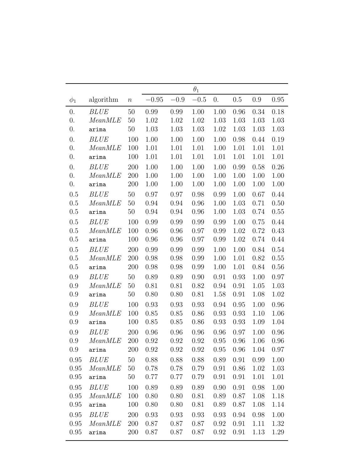|                  |                  |        |          |        | $\theta_1$ |          |          |      |      |
|------------------|------------------|--------|----------|--------|------------|----------|----------|------|------|
| $\phi_1$         | algorithm        | $\, n$ | $-0.95$  | $-0.9$ | $-0.5$     | 0.       | 0.5      | 0.9  | 0.95 |
| $\overline{0}$ . | <b>BLUE</b>      | $50\,$ | 0.99     | 0.99   | 1.00       | 1.00     | 0.96     | 0.34 | 0.18 |
| 0.               | MeanMLE          | 50     | 1.02     | 1.02   | 1.02       | 1.03     | 1.03     | 1.03 | 1.03 |
| $\overline{0}$ . | arima            | 50     | 1.03     | 1.03   | 1.03       | 1.02     | 1.03     | 1.03 | 1.03 |
| 0.               | <i>BLUE</i>      | 100    | 1.00     | 1.00   | 1.00       | 1.00     | 0.98     | 0.44 | 0.19 |
| 0.               | MeanMLE          | 100    | 1.01     | 1.01   | 1.01       | 1.00     | 1.01     | 1.01 | 1.01 |
| 0.               | arima            | 100    | 1.01     | 1.01   | 1.01       | 1.01     | 1.01     | 1.01 | 1.01 |
| 0.               | <b>BLUE</b>      | 200    | $1.00\,$ | 1.00   | 1.00       | 1.00     | 0.99     | 0.58 | 0.26 |
| 0.               | MeanMLE          | 200    | 1.00     | 1.00   | 1.00       | 1.00     | 1.00     | 1.00 | 1.00 |
| 0.               | arima            | 200    | 1.00     | 1.00   | 1.00       | 1.00     | 1.00     | 1.00 | 1.00 |
| 0.5              | <b>BLUE</b>      | 50     | 0.97     | 0.97   | 0.98       | 0.99     | 1.00     | 0.67 | 0.44 |
| 0.5              | MeanMLE          | 50     | 0.94     | 0.94   | 0.96       | $1.00\,$ | $1.03\,$ | 0.71 | 0.50 |
| $0.5\,$          | arima            | $50\,$ | 0.94     | 0.94   | 0.96       | 1.00     | 1.03     | 0.74 | 0.55 |
| 0.5              | <b>BLUE</b>      | 100    | 0.99     | 0.99   | 0.99       | 0.99     | 1.00     | 0.75 | 0.44 |
| $0.5\,$          | MeanMLE          | 100    | 0.96     | 0.96   | 0.97       | 0.99     | 1.02     | 0.72 | 0.43 |
| 0.5              | arima            | 100    | 0.96     | 0.96   | 0.97       | 0.99     | 1.02     | 0.74 | 0.44 |
| 0.5              | <b>BLUE</b>      | 200    | 0.99     | 0.99   | 0.99       | 1.00     | 1.00     | 0.84 | 0.54 |
| $0.5\,$          | MeanMLE          | 200    | 0.98     | 0.98   | 0.99       | 1.00     | 1.01     | 0.82 | 0.55 |
| 0.5              | arima            | 200    | 0.98     | 0.98   | 0.99       | 1.00     | 1.01     | 0.84 | 0.56 |
| 0.9              | <b>BLUE</b>      | $50\,$ | 0.89     | 0.89   | 0.90       | 0.91     | 0.93     | 1.00 | 0.97 |
| 0.9              | MeanMLE          | 50     | 0.81     | 0.81   | 0.82       | 0.94     | 0.91     | 1.05 | 1.03 |
| 0.9              | arima            | $50\,$ | 0.80     | 0.80   | 0.81       | 1.58     | 0.91     | 1.08 | 1.02 |
| 0.9              | BLUE             | 100    | 0.93     | 0.93   | 0.93       | 0.94     | $0.95\,$ | 1.00 | 0.96 |
| 0.9              | MeanMLE          | 100    | 0.85     | 0.85   | 0.86       | 0.93     | 0.93     | 1.10 | 1.06 |
| 0.9              | arima            | 100    | 0.85     | 0.85   | 0.86       | 0.93     | 0.93     | 1.09 | 1.04 |
| 0.9              | <i>BLUE</i>      | 200    | 0.96     | 0.96   | 0.96       | 0.96     | 0.97     | 1.00 | 0.96 |
| 0.9              | MeanMLE          | 200    | 0.92     | 0.92   | 0.92       | 0.95     | 0.96     | 1.06 | 0.96 |
| 0.9              | arima            | 200    | 0.92     | 0.92   | 0.92       | 0.95     | 0.96     | 1.04 | 0.97 |
| 0.95             | <b>BLUE</b>      | 50     | 0.88     | 0.88   | 0.88       | 0.89     | 0.91     | 0.99 | 1.00 |
| 0.95             | MeanMLE          | 50     | 0.78     | 0.78   | 0.79       | 0.91     | 0.86     | 1.02 | 1.03 |
| 0.95             | arima            | 50     | 0.77     | 0.77   | 0.79       | 0.91     | 0.91     | 1.01 | 1.01 |
| 0.95             | <b>BLUE</b>      | 100    | 0.89     | 0.89   | 0.89       | 0.90     | 0.91     | 0.98 | 1.00 |
| 0.95             | MeanMLE          | 100    | 0.80     | 0.80   | 0.81       | 0.89     | 0.87     | 1.08 | 1.18 |
| 0.95             | arima            | 100    | 0.80     | 0.80   | 0.81       | 0.89     | 0.87     | 1.08 | 1.14 |
| 0.95             | <b>BLUE</b>      | 200    | 0.93     | 0.93   | 0.93       | 0.93     | 0.94     | 0.98 | 1.00 |
| 0.95             | MeanMLE          | 200    | 0.87     | 0.87   | 0.87       | 0.92     | 0.91     | 1.11 | 1.32 |
| 0.95             | $\texttt{arima}$ | 200    | 0.87     | 0.87   | 0.87       | 0.92     | 0.91     | 1.13 | 1.29 |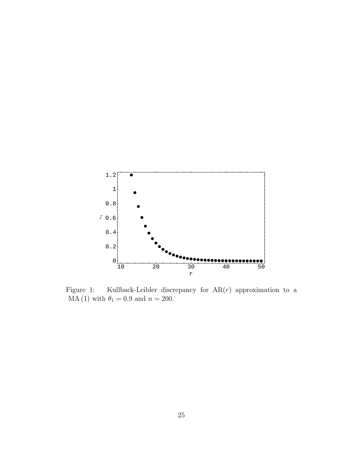

Figure 1: Kullback-Leibler discrepancy for  $AR(r)$  approximation to a  $MA (1)$  with  $\theta_1 = 0.9$  and  $n = 200$ .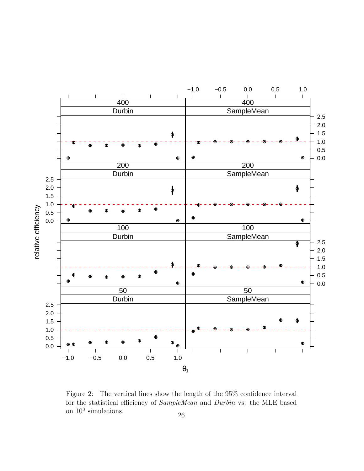

Figure 2: The vertical lines show the length of the 95% confidence interval for the statistical efficiency of SampleMean and Durbin vs. the MLE based on  $10^3$  simulations. 26